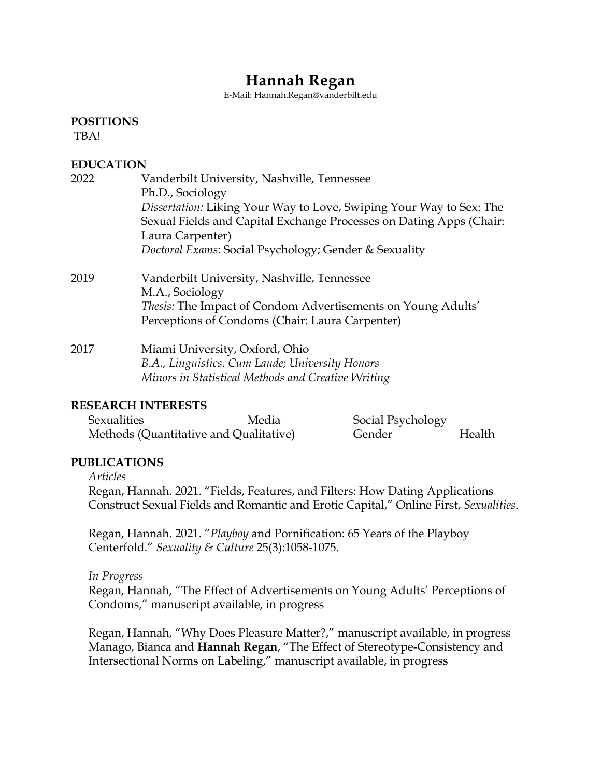# **Hannah Regan**

E-Mail: Hannah.Regan@vanderbilt.edu

**POSITIONS**

TBA!

# **EDUCATION**

| 2022 | Vanderbilt University, Nashville, Tennessee<br>Ph.D., Sociology<br>Dissertation: Liking Your Way to Love, Swiping Your Way to Sex: The<br>Sexual Fields and Capital Exchange Processes on Dating Apps (Chair:<br>Laura Carpenter)<br>Doctoral Exams: Social Psychology; Gender & Sexuality |
|------|--------------------------------------------------------------------------------------------------------------------------------------------------------------------------------------------------------------------------------------------------------------------------------------------|
| 2019 | Vanderbilt University, Nashville, Tennessee<br>M.A., Sociology<br><i>Thesis:</i> The Impact of Condom Advertisements on Young Adults'<br>Perceptions of Condoms (Chair: Laura Carpenter)                                                                                                   |
| 2017 | Miami University, Oxford, Ohio<br>B.A., Linguistics. Cum Laude; University Honors<br>Minors in Statistical Methods and Creative Writing                                                                                                                                                    |

# **RESEARCH INTERESTS**

| Sexualities                            | Media | Social Psychology |        |
|----------------------------------------|-------|-------------------|--------|
| Methods (Quantitative and Qualitative) |       | Gender            | Health |

# **PUBLICATIONS**

*Articles*

Regan, Hannah. 2021. "Fields, Features, and Filters: How Dating Applications Construct Sexual Fields and Romantic and Erotic Capital," Online First, *Sexualities*.

Regan, Hannah. 2021. "*Playboy* and Pornification: 65 Years of the Playboy Centerfold." *Sexuality & Culture* 25(3):1058-1075.

*In Progress*

Regan, Hannah, "The Effect of Advertisements on Young Adults' Perceptions of Condoms," manuscript available, in progress

Regan, Hannah, "Why Does Pleasure Matter?," manuscript available, in progress Manago, Bianca and **Hannah Regan**, "The Effect of Stereotype-Consistency and Intersectional Norms on Labeling," manuscript available, in progress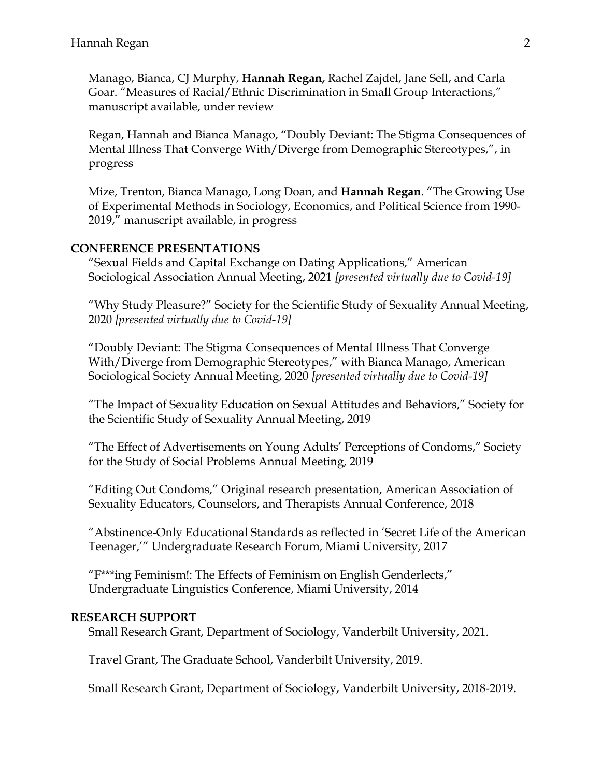Manago, Bianca, CJ Murphy, **Hannah Regan,** Rachel Zajdel, Jane Sell, and Carla Goar. "Measures of Racial/Ethnic Discrimination in Small Group Interactions," manuscript available, under review

Regan, Hannah and Bianca Manago, "Doubly Deviant: The Stigma Consequences of Mental Illness That Converge With/Diverge from Demographic Stereotypes,", in progress

Mize, Trenton, Bianca Manago, Long Doan, and **Hannah Regan**. "The Growing Use of Experimental Methods in Sociology, Economics, and Political Science from 1990- 2019," manuscript available, in progress

## **CONFERENCE PRESENTATIONS**

"Sexual Fields and Capital Exchange on Dating Applications," American Sociological Association Annual Meeting, 2021 *[presented virtually due to Covid-19]*

"Why Study Pleasure?" Society for the Scientific Study of Sexuality Annual Meeting, 2020 *[presented virtually due to Covid-19]*

"Doubly Deviant: The Stigma Consequences of Mental Illness That Converge With/Diverge from Demographic Stereotypes," with Bianca Manago, American Sociological Society Annual Meeting, 2020 *[presented virtually due to Covid-19]*

"The Impact of Sexuality Education on Sexual Attitudes and Behaviors," Society for the Scientific Study of Sexuality Annual Meeting, 2019

"The Effect of Advertisements on Young Adults' Perceptions of Condoms," Society for the Study of Social Problems Annual Meeting, 2019

"Editing Out Condoms," Original research presentation, American Association of Sexuality Educators, Counselors, and Therapists Annual Conference, 2018

"Abstinence-Only Educational Standards as reflected in 'Secret Life of the American Teenager,'" Undergraduate Research Forum, Miami University, 2017

"F\*\*\*ing Feminism!: The Effects of Feminism on English Genderlects," Undergraduate Linguistics Conference, Miami University, 2014

#### **RESEARCH SUPPORT**

Small Research Grant, Department of Sociology, Vanderbilt University, 2021.

Travel Grant, The Graduate School, Vanderbilt University, 2019.

Small Research Grant, Department of Sociology, Vanderbilt University, 2018-2019.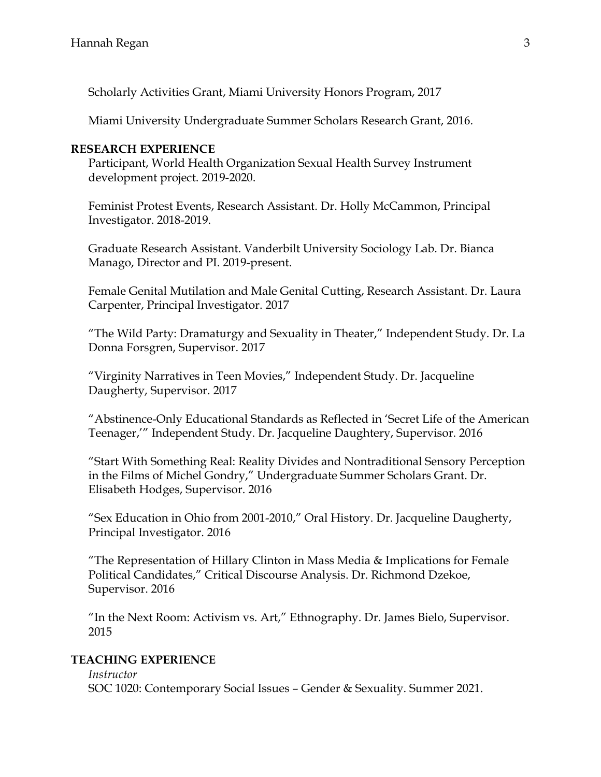Scholarly Activities Grant, Miami University Honors Program, 2017

Miami University Undergraduate Summer Scholars Research Grant, 2016.

## **RESEARCH EXPERIENCE**

Participant, World Health Organization Sexual Health Survey Instrument development project. 2019-2020.

Feminist Protest Events, Research Assistant. Dr. Holly McCammon, Principal Investigator. 2018-2019.

Graduate Research Assistant. Vanderbilt University Sociology Lab. Dr. Bianca Manago, Director and PI. 2019-present.

Female Genital Mutilation and Male Genital Cutting, Research Assistant. Dr. Laura Carpenter, Principal Investigator. 2017

"The Wild Party: Dramaturgy and Sexuality in Theater," Independent Study. Dr. La Donna Forsgren, Supervisor. 2017

"Virginity Narratives in Teen Movies," Independent Study. Dr. Jacqueline Daugherty, Supervisor. 2017

"Abstinence-Only Educational Standards as Reflected in 'Secret Life of the American Teenager,'" Independent Study. Dr. Jacqueline Daughtery, Supervisor. 2016

"Start With Something Real: Reality Divides and Nontraditional Sensory Perception in the Films of Michel Gondry," Undergraduate Summer Scholars Grant. Dr. Elisabeth Hodges, Supervisor. 2016

"Sex Education in Ohio from 2001-2010," Oral History. Dr. Jacqueline Daugherty, Principal Investigator. 2016

"The Representation of Hillary Clinton in Mass Media & Implications for Female Political Candidates," Critical Discourse Analysis. Dr. Richmond Dzekoe, Supervisor. 2016

"In the Next Room: Activism vs. Art," Ethnography. Dr. James Bielo, Supervisor. 2015

# **TEACHING EXPERIENCE**

*Instructor* SOC 1020: Contemporary Social Issues – Gender & Sexuality. Summer 2021.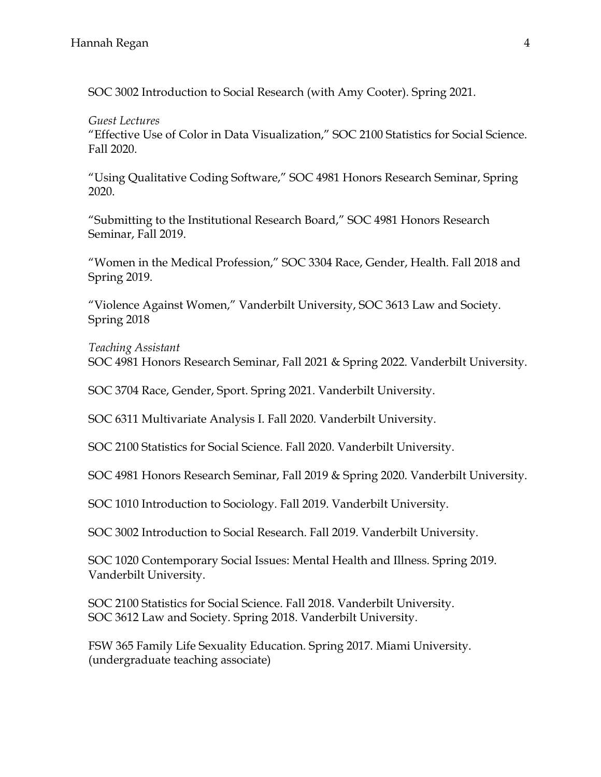SOC 3002 Introduction to Social Research (with Amy Cooter). Spring 2021.

*Guest Lectures* "Effective Use of Color in Data Visualization," SOC 2100 Statistics for Social Science. Fall 2020.

"Using Qualitative Coding Software," SOC 4981 Honors Research Seminar, Spring 2020.

"Submitting to the Institutional Research Board," SOC 4981 Honors Research Seminar, Fall 2019.

"Women in the Medical Profession," SOC 3304 Race, Gender, Health. Fall 2018 and Spring 2019.

"Violence Against Women," Vanderbilt University, SOC 3613 Law and Society. Spring 2018

*Teaching Assistant* SOC 4981 Honors Research Seminar, Fall 2021 & Spring 2022. Vanderbilt University.

SOC 3704 Race, Gender, Sport. Spring 2021. Vanderbilt University.

SOC 6311 Multivariate Analysis I. Fall 2020. Vanderbilt University.

SOC 2100 Statistics for Social Science. Fall 2020. Vanderbilt University.

SOC 4981 Honors Research Seminar, Fall 2019 & Spring 2020. Vanderbilt University.

SOC 1010 Introduction to Sociology. Fall 2019. Vanderbilt University.

SOC 3002 Introduction to Social Research. Fall 2019. Vanderbilt University.

SOC 1020 Contemporary Social Issues: Mental Health and Illness. Spring 2019. Vanderbilt University.

SOC 2100 Statistics for Social Science. Fall 2018. Vanderbilt University. SOC 3612 Law and Society. Spring 2018. Vanderbilt University.

FSW 365 Family Life Sexuality Education. Spring 2017. Miami University. (undergraduate teaching associate)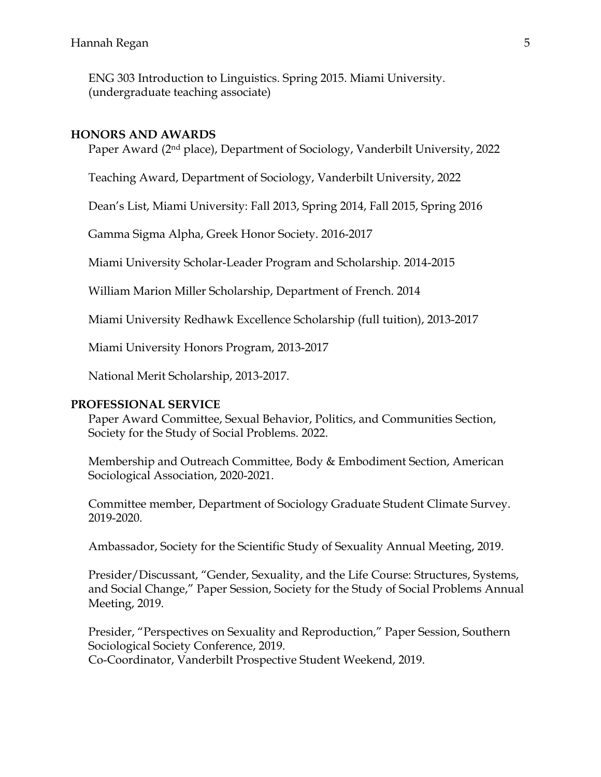ENG 303 Introduction to Linguistics. Spring 2015. Miami University. (undergraduate teaching associate)

#### **HONORS AND AWARDS**

Paper Award (2nd place), Department of Sociology, Vanderbilt University, 2022

Teaching Award, Department of Sociology, Vanderbilt University, 2022

Dean's List, Miami University: Fall 2013, Spring 2014, Fall 2015, Spring 2016

Gamma Sigma Alpha, Greek Honor Society. 2016-2017

Miami University Scholar-Leader Program and Scholarship. 2014-2015

William Marion Miller Scholarship, Department of French. 2014

Miami University Redhawk Excellence Scholarship (full tuition), 2013-2017

Miami University Honors Program, 2013-2017

National Merit Scholarship, 2013-2017.

## **PROFESSIONAL SERVICE**

Paper Award Committee, Sexual Behavior, Politics, and Communities Section, Society for the Study of Social Problems. 2022.

Membership and Outreach Committee, Body & Embodiment Section, American Sociological Association, 2020-2021.

Committee member, Department of Sociology Graduate Student Climate Survey. 2019-2020.

Ambassador, Society for the Scientific Study of Sexuality Annual Meeting, 2019.

Presider/Discussant, "Gender, Sexuality, and the Life Course: Structures, Systems, and Social Change," Paper Session, Society for the Study of Social Problems Annual Meeting, 2019.

Presider, "Perspectives on Sexuality and Reproduction," Paper Session, Southern Sociological Society Conference, 2019.

Co-Coordinator, Vanderbilt Prospective Student Weekend, 2019.